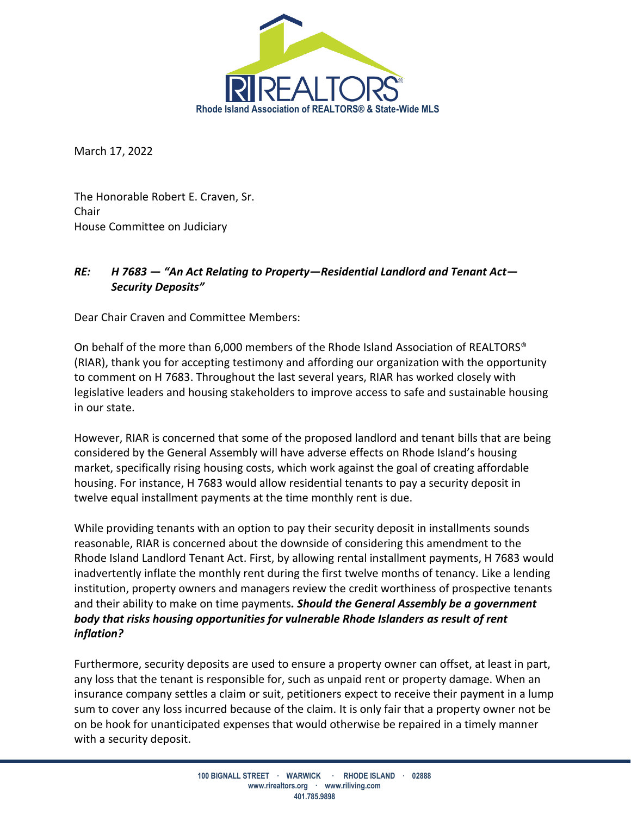

March 17, 2022

The Honorable Robert E. Craven, Sr. Chair House Committee on Judiciary

## *RE: H 7683 — "An Act Relating to Property—Residential Landlord and Tenant Act— Security Deposits"*

Dear Chair Craven and Committee Members:

On behalf of the more than 6,000 members of the Rhode Island Association of REALTORS® (RIAR), thank you for accepting testimony and affording our organization with the opportunity to comment on H 7683. Throughout the last several years, RIAR has worked closely with legislative leaders and housing stakeholders to improve access to safe and sustainable housing in our state.

However, RIAR is concerned that some of the proposed landlord and tenant bills that are being considered by the General Assembly will have adverse effects on Rhode Island's housing market, specifically rising housing costs, which work against the goal of creating affordable housing. For instance, H 7683 would allow residential tenants to pay a security deposit in twelve equal installment payments at the time monthly rent is due.

While providing tenants with an option to pay their security deposit in installments sounds reasonable, RIAR is concerned about the downside of considering this amendment to the Rhode Island Landlord Tenant Act. First, by allowing rental installment payments, H 7683 would inadvertently inflate the monthly rent during the first twelve months of tenancy. Like a lending institution, property owners and managers review the credit worthiness of prospective tenants and their ability to make on time payments*. Should the General Assembly be a government body that risks housing opportunities for vulnerable Rhode Islanders as result of rent inflation?*

Furthermore, security deposits are used to ensure a property owner can offset, at least in part, any loss that the tenant is responsible for, such as unpaid rent or property damage. When an insurance company settles a claim or suit, petitioners expect to receive their payment in a lump sum to cover any loss incurred because of the claim. It is only fair that a property owner not be on be hook for unanticipated expenses that would otherwise be repaired in a timely manner with a security deposit.